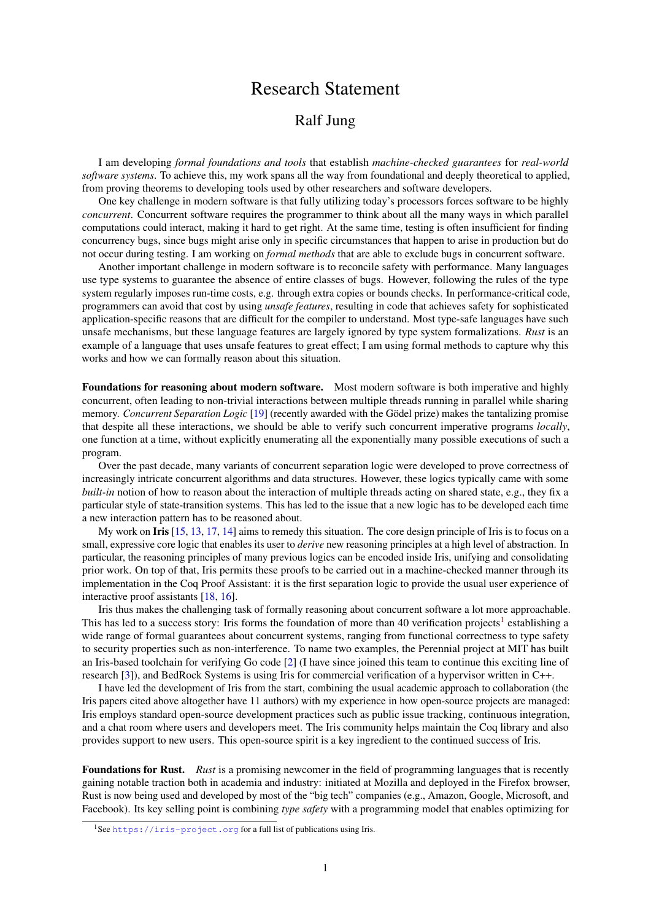# Research Statement

## Ralf Jung

I am developing *formal foundations and tools* that establish *machine-checked guarantees* for *real-world software systems*. To achieve this, my work spans all the way from foundational and deeply theoretical to applied, from proving theorems to developing tools used by other researchers and software developers.

One key challenge in modern software is that fully utilizing today's processors forces software to be highly *concurrent*. Concurrent software requires the programmer to think about all the many ways in which parallel computations could interact, making it hard to get right. At the same time, testing is often insufficient for finding concurrency bugs, since bugs might arise only in specific circumstances that happen to arise in production but do not occur during testing. I am working on *formal methods* that are able to exclude bugs in concurrent software.

Another important challenge in modern software is to reconcile safety with performance. Many languages use type systems to guarantee the absence of entire classes of bugs. However, following the rules of the type system regularly imposes run-time costs, e.g. through extra copies or bounds checks. In performance-critical code, programmers can avoid that cost by using *unsafe features*, resulting in code that achieves safety for sophisticated application-specific reasons that are difficult for the compiler to understand. Most type-safe languages have such unsafe mechanisms, but these language features are largely ignored by type system formalizations. *Rust* is an example of a language that uses unsafe features to great effect; I am using formal methods to capture why this works and how we can formally reason about this situation.

Foundations for reasoning about modern software. Most modern software is both imperative and highly concurrent, often leading to non-trivial interactions between multiple threads running in parallel while sharing memory. *Concurrent Separation Logic* [\[19\]](#page-5-0) (recently awarded with the Gödel prize) makes the tantalizing promise that despite all these interactions, we should be able to verify such concurrent imperative programs *locally*, one function at a time, without explicitly enumerating all the exponentially many possible executions of such a program.

Over the past decade, many variants of concurrent separation logic were developed to prove correctness of increasingly intricate concurrent algorithms and data structures. However, these logics typically came with some *built-in* notion of how to reason about the interaction of multiple threads acting on shared state, e.g., they fix a particular style of state-transition systems. This has led to the issue that a new logic has to be developed each time a new interaction pattern has to be reasoned about.

My work on Iris [\[15,](#page-4-0) [13,](#page-4-1) [17,](#page-5-1) [14\]](#page-4-2) aims to remedy this situation. The core design principle of Iris is to focus on a small, expressive core logic that enables its user to *derive* new reasoning principles at a high level of abstraction. In particular, the reasoning principles of many previous logics can be encoded inside Iris, unifying and consolidating prior work. On top of that, Iris permits these proofs to be carried out in a machine-checked manner through its implementation in the Coq Proof Assistant: it is the first separation logic to provide the usual user experience of interactive proof assistants [\[18,](#page-5-2) [16\]](#page-4-3).

Iris thus makes the challenging task of formally reasoning about concurrent software a lot more approachable. This has led to a success story: Iris forms the foundation of more than 40 verification projects<sup>[1](#page-0-0)</sup> establishing a wide range of formal guarantees about concurrent systems, ranging from functional correctness to type safety to security properties such as non-interference. To name two examples, the Perennial project at MIT has built an Iris-based toolchain for verifying Go code [\[2\]](#page-4-4) (I have since joined this team to continue this exciting line of research [\[3\]](#page-4-5)), and BedRock Systems is using Iris for commercial verification of a hypervisor written in C++.

I have led the development of Iris from the start, combining the usual academic approach to collaboration (the Iris papers cited above altogether have 11 authors) with my experience in how open-source projects are managed: Iris employs standard open-source development practices such as public issue tracking, continuous integration, and a chat room where users and developers meet. The Iris community helps maintain the Coq library and also provides support to new users. This open-source spirit is a key ingredient to the continued success of Iris.

Foundations for Rust. *Rust* is a promising newcomer in the field of programming languages that is recently gaining notable traction both in academia and industry: initiated at Mozilla and deployed in the Firefox browser, Rust is now being used and developed by most of the "big tech" companies (e.g., Amazon, Google, Microsoft, and Facebook). Its key selling point is combining *type safety* with a programming model that enables optimizing for

<span id="page-0-0"></span><sup>&</sup>lt;sup>1</sup>See <https://iris-project.org> for a full list of publications using Iris.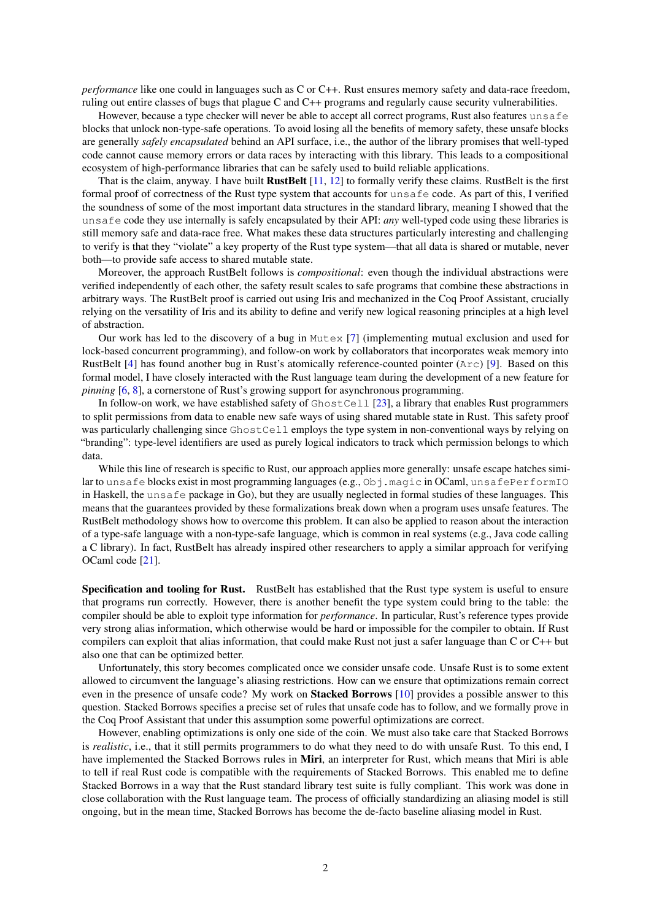*performance* like one could in languages such as C or C++. Rust ensures memory safety and data-race freedom, ruling out entire classes of bugs that plague C and C++ programs and regularly cause security vulnerabilities.

However, because a type checker will never be able to accept all correct programs, Rust also features unsafe blocks that unlock non-type-safe operations. To avoid losing all the benefits of memory safety, these unsafe blocks are generally *safely encapsulated* behind an API surface, i.e., the author of the library promises that well-typed code cannot cause memory errors or data races by interacting with this library. This leads to a compositional ecosystem of high-performance libraries that can be safely used to build reliable applications.

That is the claim, anyway. I have built **RustBelt**  $[11, 12]$  $[11, 12]$  $[11, 12]$  to formally verify these claims. RustBelt is the first formal proof of correctness of the Rust type system that accounts for unsafe code. As part of this, I verified the soundness of some of the most important data structures in the standard library, meaning I showed that the unsafe code they use internally is safely encapsulated by their API: *any* well-typed code using these libraries is still memory safe and data-race free. What makes these data structures particularly interesting and challenging to verify is that they "violate" a key property of the Rust type system—that all data is shared or mutable, never both—to provide safe access to shared mutable state.

Moreover, the approach RustBelt follows is *compositional*: even though the individual abstractions were verified independently of each other, the safety result scales to safe programs that combine these abstractions in arbitrary ways. The RustBelt proof is carried out using Iris and mechanized in the Coq Proof Assistant, crucially relying on the versatility of Iris and its ability to define and verify new logical reasoning principles at a high level of abstraction.

Our work has led to the discovery of a bug in Mutex [\[7\]](#page-4-8) (implementing mutual exclusion and used for lock-based concurrent programming), and follow-on work by collaborators that incorporates weak memory into RustBelt [\[4\]](#page-4-9) has found another bug in Rust's atomically reference-counted pointer (Arc) [\[9\]](#page-4-10). Based on this formal model, I have closely interacted with the Rust language team during the development of a new feature for *pinning* [\[6,](#page-4-11) [8\]](#page-4-12), a cornerstone of Rust's growing support for asynchronous programming.

In follow-on work, we have established safety of GhostCell [\[23\]](#page-5-3), a library that enables Rust programmers to split permissions from data to enable new safe ways of using shared mutable state in Rust. This safety proof was particularly challenging since GhostCell employs the type system in non-conventional ways by relying on "branding": type-level identifiers are used as purely logical indicators to track which permission belongs to which data.

While this line of research is specific to Rust, our approach applies more generally: unsafe escape hatches similar to unsafe blocks exist in most programming languages (e.g., Obj.magic in OCaml, unsafePerformIO in Haskell, the unsafe package in Go), but they are usually neglected in formal studies of these languages. This means that the guarantees provided by these formalizations break down when a program uses unsafe features. The RustBelt methodology shows how to overcome this problem. It can also be applied to reason about the interaction of a type-safe language with a non-type-safe language, which is common in real systems (e.g., Java code calling a C library). In fact, RustBelt has already inspired other researchers to apply a similar approach for verifying OCaml code [\[21\]](#page-5-4).

Specification and tooling for Rust. RustBelt has established that the Rust type system is useful to ensure that programs run correctly. However, there is another benefit the type system could bring to the table: the compiler should be able to exploit type information for *performance*. In particular, Rust's reference types provide very strong alias information, which otherwise would be hard or impossible for the compiler to obtain. If Rust compilers can exploit that alias information, that could make Rust not just a safer language than C or C++ but also one that can be optimized better.

Unfortunately, this story becomes complicated once we consider unsafe code. Unsafe Rust is to some extent allowed to circumvent the language's aliasing restrictions. How can we ensure that optimizations remain correct even in the presence of unsafe code? My work on **Stacked Borrows** [\[10\]](#page-4-13) provides a possible answer to this question. Stacked Borrows specifies a precise set of rules that unsafe code has to follow, and we formally prove in the Coq Proof Assistant that under this assumption some powerful optimizations are correct.

However, enabling optimizations is only one side of the coin. We must also take care that Stacked Borrows is *realistic*, i.e., that it still permits programmers to do what they need to do with unsafe Rust. To this end, I have implemented the Stacked Borrows rules in Miri, an interpreter for Rust, which means that Miri is able to tell if real Rust code is compatible with the requirements of Stacked Borrows. This enabled me to define Stacked Borrows in a way that the Rust standard library test suite is fully compliant. This work was done in close collaboration with the Rust language team. The process of officially standardizing an aliasing model is still ongoing, but in the mean time, Stacked Borrows has become the de-facto baseline aliasing model in Rust.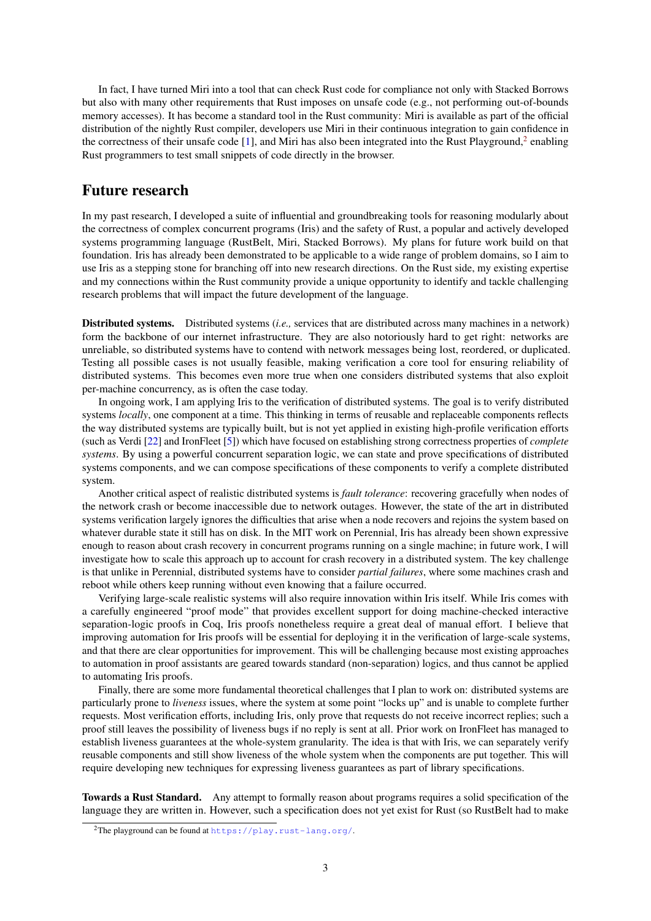In fact, I have turned Miri into a tool that can check Rust code for compliance not only with Stacked Borrows but also with many other requirements that Rust imposes on unsafe code (e.g., not performing out-of-bounds memory accesses). It has become a standard tool in the Rust community: Miri is available as part of the official distribution of the nightly Rust compiler, developers use Miri in their continuous integration to gain confidence in the correctness of their unsafe code [\[1\]](#page-4-14), and Miri has also been integrated into the Rust Playground,<sup>[2](#page-2-0)</sup> enabling Rust programmers to test small snippets of code directly in the browser.

#### Future research

In my past research, I developed a suite of influential and groundbreaking tools for reasoning modularly about the correctness of complex concurrent programs (Iris) and the safety of Rust, a popular and actively developed systems programming language (RustBelt, Miri, Stacked Borrows). My plans for future work build on that foundation. Iris has already been demonstrated to be applicable to a wide range of problem domains, so I aim to use Iris as a stepping stone for branching off into new research directions. On the Rust side, my existing expertise and my connections within the Rust community provide a unique opportunity to identify and tackle challenging research problems that will impact the future development of the language.

Distributed systems. Distributed systems (*i.e.,* services that are distributed across many machines in a network) form the backbone of our internet infrastructure. They are also notoriously hard to get right: networks are unreliable, so distributed systems have to contend with network messages being lost, reordered, or duplicated. Testing all possible cases is not usually feasible, making verification a core tool for ensuring reliability of distributed systems. This becomes even more true when one considers distributed systems that also exploit per-machine concurrency, as is often the case today.

In ongoing work, I am applying Iris to the verification of distributed systems. The goal is to verify distributed systems *locally*, one component at a time. This thinking in terms of reusable and replaceable components reflects the way distributed systems are typically built, but is not yet applied in existing high-profile verification efforts (such as Verdi [\[22\]](#page-5-5) and IronFleet [\[5\]](#page-4-15)) which have focused on establishing strong correctness properties of *complete systems*. By using a powerful concurrent separation logic, we can state and prove specifications of distributed systems components, and we can compose specifications of these components to verify a complete distributed system.

Another critical aspect of realistic distributed systems is *fault tolerance*: recovering gracefully when nodes of the network crash or become inaccessible due to network outages. However, the state of the art in distributed systems verification largely ignores the difficulties that arise when a node recovers and rejoins the system based on whatever durable state it still has on disk. In the MIT work on Perennial, Iris has already been shown expressive enough to reason about crash recovery in concurrent programs running on a single machine; in future work, I will investigate how to scale this approach up to account for crash recovery in a distributed system. The key challenge is that unlike in Perennial, distributed systems have to consider *partial failures*, where some machines crash and reboot while others keep running without even knowing that a failure occurred.

Verifying large-scale realistic systems will also require innovation within Iris itself. While Iris comes with a carefully engineered "proof mode" that provides excellent support for doing machine-checked interactive separation-logic proofs in Coq, Iris proofs nonetheless require a great deal of manual effort. I believe that improving automation for Iris proofs will be essential for deploying it in the verification of large-scale systems, and that there are clear opportunities for improvement. This will be challenging because most existing approaches to automation in proof assistants are geared towards standard (non-separation) logics, and thus cannot be applied to automating Iris proofs.

Finally, there are some more fundamental theoretical challenges that I plan to work on: distributed systems are particularly prone to *liveness* issues, where the system at some point "locks up" and is unable to complete further requests. Most verification efforts, including Iris, only prove that requests do not receive incorrect replies; such a proof still leaves the possibility of liveness bugs if no reply is sent at all. Prior work on IronFleet has managed to establish liveness guarantees at the whole-system granularity. The idea is that with Iris, we can separately verify reusable components and still show liveness of the whole system when the components are put together. This will require developing new techniques for expressing liveness guarantees as part of library specifications.

Towards a Rust Standard. Any attempt to formally reason about programs requires a solid specification of the language they are written in. However, such a specification does not yet exist for Rust (so RustBelt had to make

<span id="page-2-0"></span><sup>&</sup>lt;sup>2</sup>The playground can be found at <https://play.rust-lang.org/>.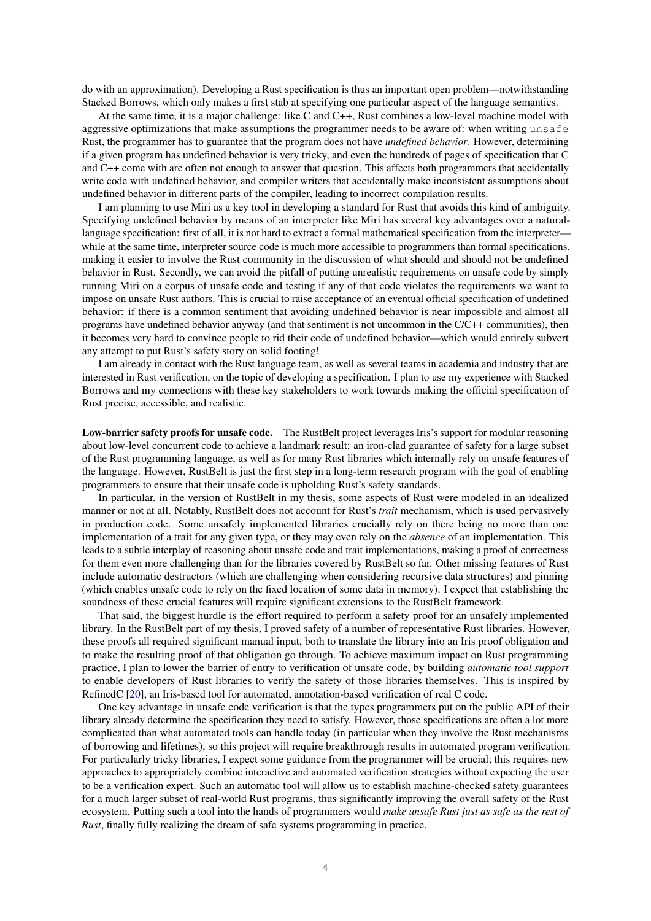do with an approximation). Developing a Rust specification is thus an important open problem—notwithstanding Stacked Borrows, which only makes a first stab at specifying one particular aspect of the language semantics.

At the same time, it is a major challenge: like C and C++, Rust combines a low-level machine model with aggressive optimizations that make assumptions the programmer needs to be aware of: when writing unsafe Rust, the programmer has to guarantee that the program does not have *undefined behavior*. However, determining if a given program has undefined behavior is very tricky, and even the hundreds of pages of specification that C and C++ come with are often not enough to answer that question. This affects both programmers that accidentally write code with undefined behavior, and compiler writers that accidentally make inconsistent assumptions about undefined behavior in different parts of the compiler, leading to incorrect compilation results.

I am planning to use Miri as a key tool in developing a standard for Rust that avoids this kind of ambiguity. Specifying undefined behavior by means of an interpreter like Miri has several key advantages over a naturallanguage specification: first of all, it is not hard to extract a formal mathematical specification from the interpreter while at the same time, interpreter source code is much more accessible to programmers than formal specifications, making it easier to involve the Rust community in the discussion of what should and should not be undefined behavior in Rust. Secondly, we can avoid the pitfall of putting unrealistic requirements on unsafe code by simply running Miri on a corpus of unsafe code and testing if any of that code violates the requirements we want to impose on unsafe Rust authors. This is crucial to raise acceptance of an eventual official specification of undefined behavior: if there is a common sentiment that avoiding undefined behavior is near impossible and almost all programs have undefined behavior anyway (and that sentiment is not uncommon in the C/C++ communities), then it becomes very hard to convince people to rid their code of undefined behavior—which would entirely subvert any attempt to put Rust's safety story on solid footing!

I am already in contact with the Rust language team, as well as several teams in academia and industry that are interested in Rust verification, on the topic of developing a specification. I plan to use my experience with Stacked Borrows and my connections with these key stakeholders to work towards making the official specification of Rust precise, accessible, and realistic.

Low-barrier safety proofs for unsafe code. The RustBelt project leverages Iris's support for modular reasoning about low-level concurrent code to achieve a landmark result: an iron-clad guarantee of safety for a large subset of the Rust programming language, as well as for many Rust libraries which internally rely on unsafe features of the language. However, RustBelt is just the first step in a long-term research program with the goal of enabling programmers to ensure that their unsafe code is upholding Rust's safety standards.

In particular, in the version of RustBelt in my thesis, some aspects of Rust were modeled in an idealized manner or not at all. Notably, RustBelt does not account for Rust's *trait* mechanism, which is used pervasively in production code. Some unsafely implemented libraries crucially rely on there being no more than one implementation of a trait for any given type, or they may even rely on the *absence* of an implementation. This leads to a subtle interplay of reasoning about unsafe code and trait implementations, making a proof of correctness for them even more challenging than for the libraries covered by RustBelt so far. Other missing features of Rust include automatic destructors (which are challenging when considering recursive data structures) and pinning (which enables unsafe code to rely on the fixed location of some data in memory). I expect that establishing the soundness of these crucial features will require significant extensions to the RustBelt framework.

That said, the biggest hurdle is the effort required to perform a safety proof for an unsafely implemented library. In the RustBelt part of my thesis, I proved safety of a number of representative Rust libraries. However, these proofs all required significant manual input, both to translate the library into an Iris proof obligation and to make the resulting proof of that obligation go through. To achieve maximum impact on Rust programming practice, I plan to lower the barrier of entry to verification of unsafe code, by building *automatic tool support* to enable developers of Rust libraries to verify the safety of those libraries themselves. This is inspired by RefinedC [\[20\]](#page-5-6), an Iris-based tool for automated, annotation-based verification of real C code.

One key advantage in unsafe code verification is that the types programmers put on the public API of their library already determine the specification they need to satisfy. However, those specifications are often a lot more complicated than what automated tools can handle today (in particular when they involve the Rust mechanisms of borrowing and lifetimes), so this project will require breakthrough results in automated program verification. For particularly tricky libraries, I expect some guidance from the programmer will be crucial; this requires new approaches to appropriately combine interactive and automated verification strategies without expecting the user to be a verification expert. Such an automatic tool will allow us to establish machine-checked safety guarantees for a much larger subset of real-world Rust programs, thus significantly improving the overall safety of the Rust ecosystem. Putting such a tool into the hands of programmers would *make unsafe Rust just as safe as the rest of Rust*, finally fully realizing the dream of safe systems programming in practice.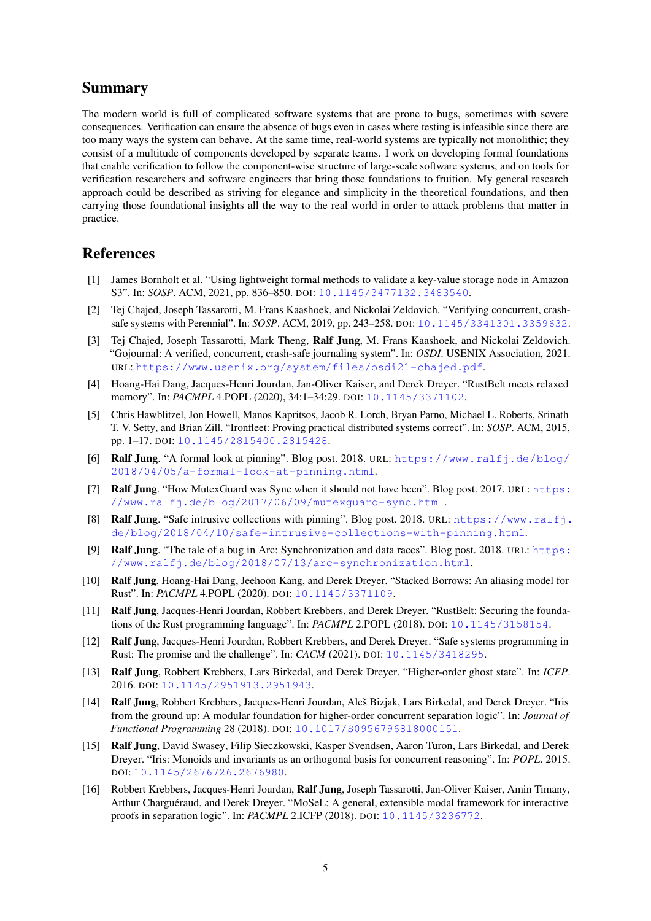## Summary

The modern world is full of complicated software systems that are prone to bugs, sometimes with severe consequences. Verification can ensure the absence of bugs even in cases where testing is infeasible since there are too many ways the system can behave. At the same time, real-world systems are typically not monolithic; they consist of a multitude of components developed by separate teams. I work on developing formal foundations that enable verification to follow the component-wise structure of large-scale software systems, and on tools for verification researchers and software engineers that bring those foundations to fruition. My general research approach could be described as striving for elegance and simplicity in the theoretical foundations, and then carrying those foundational insights all the way to the real world in order to attack problems that matter in practice.

#### References

- <span id="page-4-14"></span>[1] James Bornholt et al. "Using lightweight formal methods to validate a key-value storage node in Amazon S3". In: *SOSP*. ACM, 2021, pp. 836–850. DOI: [10.1145/3477132.3483540](https://doi.org/10.1145/3477132.3483540).
- <span id="page-4-4"></span>[2] Tej Chajed, Joseph Tassarotti, M. Frans Kaashoek, and Nickolai Zeldovich. "Verifying concurrent, crashsafe systems with Perennial". In: *SOSP*. ACM, 2019, pp. 243–258. DOI: [10.1145/3341301.3359632](https://doi.org/10.1145/3341301.3359632).
- <span id="page-4-5"></span>[3] Tej Chajed, Joseph Tassarotti, Mark Theng, Ralf Jung, M. Frans Kaashoek, and Nickolai Zeldovich. "Gojournal: A verified, concurrent, crash-safe journaling system". In: *OSDI*. USENIX Association, 2021. URL: <https://www.usenix.org/system/files/osdi21-chajed.pdf>.
- <span id="page-4-9"></span>[4] Hoang-Hai Dang, Jacques-Henri Jourdan, Jan-Oliver Kaiser, and Derek Dreyer. "RustBelt meets relaxed memory". In: *PACMPL* 4.POPL (2020), 34:1–34:29. DOI: [10.1145/3371102](https://doi.org/10.1145/3371102).
- <span id="page-4-15"></span>[5] Chris Hawblitzel, Jon Howell, Manos Kapritsos, Jacob R. Lorch, Bryan Parno, Michael L. Roberts, Srinath T. V. Setty, and Brian Zill. "Ironfleet: Proving practical distributed systems correct". In: *SOSP*. ACM, 2015, pp. 1–17. DOI: [10.1145/2815400.2815428](https://doi.org/10.1145/2815400.2815428).
- <span id="page-4-11"></span>[6] Ralf Jung. "A formal look at pinning". Blog post. 2018. URL: [https://www.ralfj.de/blog/](https://www.ralfj.de/blog/2018/04/05/a-formal-look-at-pinning.html) [2018/04/05/a-formal-look-at-pinning.html](https://www.ralfj.de/blog/2018/04/05/a-formal-look-at-pinning.html).
- <span id="page-4-8"></span>[7] Ralf Jung. "How MutexGuard was Sync when it should not have been". Blog post. 2017. URL: [https:](https://www.ralfj.de/blog/2017/06/09/mutexguard-sync.html) [//www.ralfj.de/blog/2017/06/09/mutexguard-sync.html](https://www.ralfj.de/blog/2017/06/09/mutexguard-sync.html).
- <span id="page-4-12"></span>[8] Ralf Jung. "Safe intrusive collections with pinning". Blog post. 2018. URL: [https://www.ralfj.](https://www.ralfj.de/blog/2018/04/10/safe-intrusive-collections-with-pinning.html) [de/blog/2018/04/10/safe-intrusive-collections-with-pinning.html](https://www.ralfj.de/blog/2018/04/10/safe-intrusive-collections-with-pinning.html).
- <span id="page-4-10"></span>[9] Ralf Jung. "The tale of a bug in Arc: Synchronization and data races". Blog post. 2018. URL: [https:](https://www.ralfj.de/blog/2018/07/13/arc-synchronization.html) [//www.ralfj.de/blog/2018/07/13/arc-synchronization.html](https://www.ralfj.de/blog/2018/07/13/arc-synchronization.html).
- <span id="page-4-13"></span>[10] Ralf Jung, Hoang-Hai Dang, Jeehoon Kang, and Derek Dreyer. "Stacked Borrows: An aliasing model for Rust". In: *PACMPL* 4.POPL (2020). DOI: [10.1145/3371109](https://doi.org/10.1145/3371109).
- <span id="page-4-6"></span>[11] Ralf Jung, Jacques-Henri Jourdan, Robbert Krebbers, and Derek Drever. "RustBelt: Securing the foundations of the Rust programming language". In: *PACMPL* 2.POPL (2018). DOI: [10.1145/3158154](https://doi.org/10.1145/3158154).
- <span id="page-4-7"></span>[12] Ralf Jung, Jacques-Henri Jourdan, Robbert Krebbers, and Derek Dreyer. "Safe systems programming in Rust: The promise and the challenge". In: *CACM* (2021). DOI: [10.1145/3418295](https://doi.org/10.1145/3418295).
- <span id="page-4-1"></span>[13] Ralf Jung, Robbert Krebbers, Lars Birkedal, and Derek Dreyer. "Higher-order ghost state". In: *ICFP*. 2016. DOI: [10.1145/2951913.2951943](https://doi.org/10.1145/2951913.2951943).
- <span id="page-4-2"></span>[14] Ralf Jung, Robbert Krebbers, Jacques-Henri Jourdan, Aleš Bizjak, Lars Birkedal, and Derek Dreyer. "Iris from the ground up: A modular foundation for higher-order concurrent separation logic". In: *Journal of Functional Programming* 28 (2018). DOI: [10.1017/S0956796818000151](https://doi.org/10.1017/S0956796818000151).
- <span id="page-4-0"></span>[15] Ralf Jung, David Swasey, Filip Sieczkowski, Kasper Svendsen, Aaron Turon, Lars Birkedal, and Derek Dreyer. "Iris: Monoids and invariants as an orthogonal basis for concurrent reasoning". In: *POPL*. 2015. DOI: [10.1145/2676726.2676980](https://doi.org/10.1145/2676726.2676980).
- <span id="page-4-3"></span>[16] Robbert Krebbers, Jacques-Henri Jourdan, Ralf Jung, Joseph Tassarotti, Jan-Oliver Kaiser, Amin Timany, Arthur Charguéraud, and Derek Dreyer. "MoSeL: A general, extensible modal framework for interactive proofs in separation logic". In: *PACMPL* 2.ICFP (2018). DOI: [10.1145/3236772](https://doi.org/10.1145/3236772).